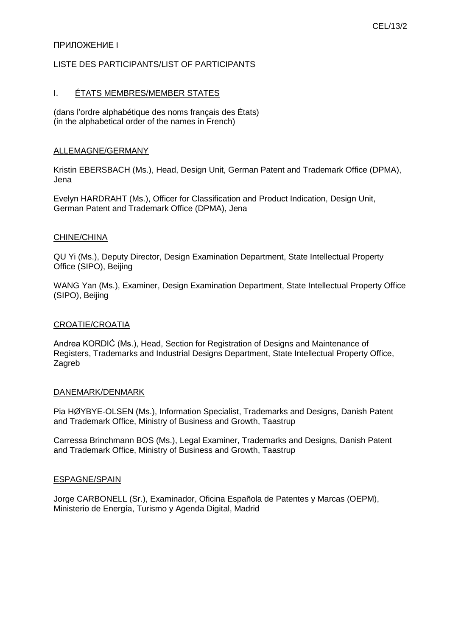# CEL/13/2

# ПРИЛОЖЕНИЕ I

# LISTE DES PARTICIPANTS/LIST OF PARTICIPANTS

### I. ÉTATS MEMBRES/MEMBER STATES

(dans l'ordre alphabétique des noms français des États) (in the alphabetical order of the names in French)

#### ALLEMAGNE/GERMANY

Kristin EBERSBACH (Ms.), Head, Design Unit, German Patent and Trademark Office (DPMA), Jena

Evelyn HARDRAHT (Ms.), Officer for Classification and Product Indication, Design Unit, German Patent and Trademark Office (DPMA), Jena

#### CHINE/CHINA

QU Yi (Ms.), Deputy Director, Design Examination Department, State Intellectual Property Office (SIPO), Beijing

WANG Yan (Ms.), Examiner, Design Examination Department, State Intellectual Property Office (SIPO), Beijing

#### CROATIE/CROATIA

Andrea KORDIĆ (Ms.), Head, Section for Registration of Designs and Maintenance of Registers, Trademarks and Industrial Designs Department, State Intellectual Property Office, Zagreb

#### DANEMARK/DENMARK

Pia HØYBYE-OLSEN (Ms.), Information Specialist, Trademarks and Designs, Danish Patent and Trademark Office, Ministry of Business and Growth, Taastrup

Carressa Brinchmann BOS (Ms.), Legal Examiner, Trademarks and Designs, Danish Patent and Trademark Office, Ministry of Business and Growth, Taastrup

#### ESPAGNE/SPAIN

Jorge CARBONELL (Sr.), Examinador, Oficina Española de Patentes y Marcas (OEPM), Ministerio de Energía, Turismo y Agenda Digital, Madrid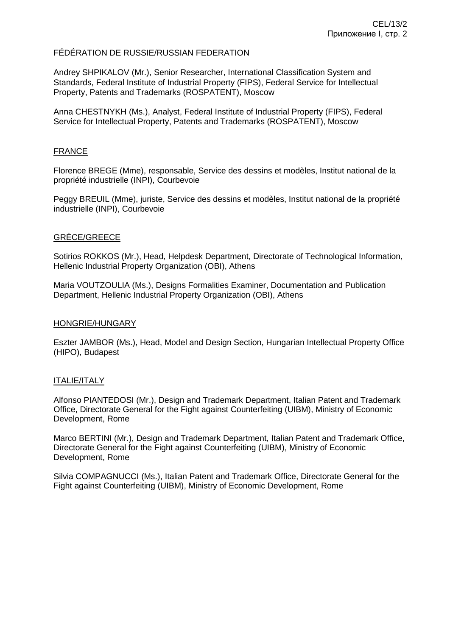# FÉDÉRATION DE RUSSIE/RUSSIAN FEDERATION

Andrey SHPIKALOV (Mr.), Senior Researcher, International Classification System and Standards, Federal Institute of Industrial Property (FIPS), Federal Service for Intellectual Property, Patents and Trademarks (ROSPATENT), Moscow

Anna CHESTNYKH (Ms.), Analyst, Federal Institute of Industrial Property (FIPS), Federal Service for Intellectual Property, Patents and Trademarks (ROSPATENT), Moscow

# **FRANCE**

Florence BREGE (Mme), responsable, Service des dessins et modèles, Institut national de la propriété industrielle (INPI), Courbevoie

Peggy BREUIL (Mme), juriste, Service des dessins et modèles, Institut national de la propriété industrielle (INPI), Courbevoie

# GRÈCE/GREECE

Sotirios ROKKOS (Mr.), Head, Helpdesk Department, Directorate of Technological Information, Hellenic Industrial Property Organization (OBI), Athens

Maria VOUTZOULIA (Ms.), Designs Formalities Examiner, Documentation and Publication Department, Hellenic Industrial Property Organization (OBI), Athens

### HONGRIE/HUNGARY

Eszter JAMBOR (Ms.), Head, Model and Design Section, Hungarian Intellectual Property Office (HIPO), Budapest

# ITALIE/ITALY

Alfonso PIANTEDOSI (Mr.), Design and Trademark Department, Italian Patent and Trademark Office, Directorate General for the Fight against Counterfeiting (UIBM), Ministry of Economic Development, Rome

Marco BERTINI (Mr.), Design and Trademark Department, Italian Patent and Trademark Office, Directorate General for the Fight against Counterfeiting (UIBM), Ministry of Economic Development, Rome

Silvia COMPAGNUCCI (Ms.), Italian Patent and Trademark Office, Directorate General for the Fight against Counterfeiting (UIBM), Ministry of Economic Development, Rome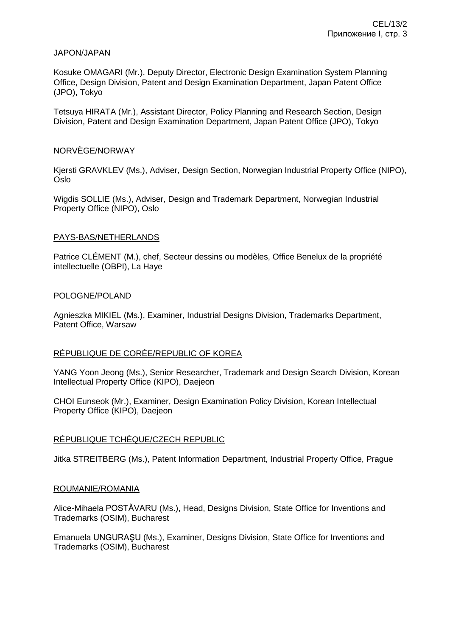### JAPON/JAPAN

Kosuke OMAGARI (Mr.), Deputy Director, Electronic Design Examination System Planning Office, Design Division, Patent and Design Examination Department, Japan Patent Office (JPO), Tokyo

Tetsuya HIRATA (Mr.), Assistant Director, Policy Planning and Research Section, Design Division, Patent and Design Examination Department, Japan Patent Office (JPO), Tokyo

### NORVÈGE/NORWAY

Kjersti GRAVKLEV (Ms.), Adviser, Design Section, Norwegian Industrial Property Office (NIPO), Oslo

Wigdis SOLLIE (Ms.), Adviser, Design and Trademark Department, Norwegian Industrial Property Office (NIPO), Oslo

### PAYS-BAS/NETHERLANDS

Patrice CLÉMENT (M.), chef, Secteur dessins ou modèles, Office Benelux de la propriété intellectuelle (OBPI), La Haye

#### POLOGNE/POLAND

Agnieszka MIKIEL (Ms.), Examiner, Industrial Designs Division, Trademarks Department, Patent Office, Warsaw

# RÉPUBLIQUE DE CORÉE/REPUBLIC OF KOREA

YANG Yoon Jeong (Ms.), Senior Researcher, Trademark and Design Search Division, Korean Intellectual Property Office (KIPO), Daejeon

CHOI Eunseok (Mr.), Examiner, Design Examination Policy Division, Korean Intellectual Property Office (KIPO), Daejeon

# RÉPUBLIQUE TCHÈQUE/CZECH REPUBLIC

Jitka STREITBERG (Ms.), Patent Information Department, Industrial Property Office, Prague

#### ROUMANIE/ROMANIA

Alice-Mihaela POSTĂVARU (Ms.), Head, Designs Division, State Office for Inventions and Trademarks (OSIM), Bucharest

Emanuela UNGURAŞU (Ms.), Examiner, Designs Division, State Office for Inventions and Trademarks (OSIM), Bucharest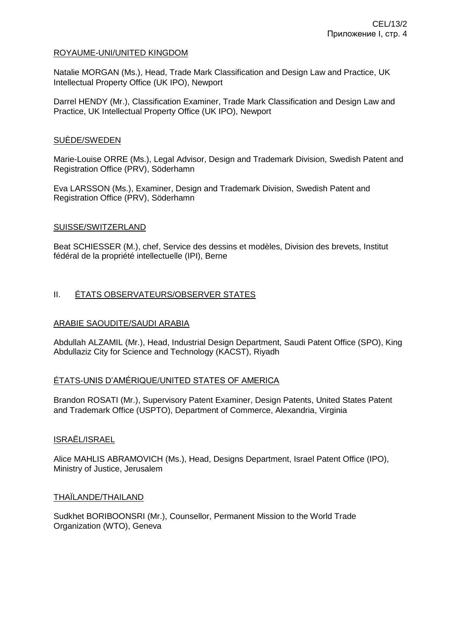# ROYAUME-UNI/UNITED KINGDOM

Natalie MORGAN (Ms.), Head, Trade Mark Classification and Design Law and Practice, UK Intellectual Property Office (UK IPO), Newport

Darrel HENDY (Mr.), Classification Examiner, Trade Mark Classification and Design Law and Practice, UK Intellectual Property Office (UK IPO), Newport

### SUÈDE/SWEDEN

Marie-Louise ORRE (Ms.), Legal Advisor, Design and Trademark Division, Swedish Patent and Registration Office (PRV), Söderhamn

Eva LARSSON (Ms.), Examiner, Design and Trademark Division, Swedish Patent and Registration Office (PRV), Söderhamn

### SUISSE/SWITZERLAND

Beat SCHIESSER (M.), chef, Service des dessins et modèles, Division des brevets, Institut fédéral de la propriété intellectuelle (IPI), Berne

# II. ÉTATS OBSERVATEURS/OBSERVER STATES

# ARABIE SAOUDITE/SAUDI ARABIA

Abdullah ALZAMIL (Mr.), Head, Industrial Design Department, Saudi Patent Office (SPO), King Abdullaziz City for Science and Technology (KACST), Riyadh

# ÉTATS-UNIS D'AMÉRIQUE/UNITED STATES OF AMERICA

Brandon ROSATI (Mr.), Supervisory Patent Examiner, Design Patents, United States Patent and Trademark Office (USPTO), Department of Commerce, Alexandria, Virginia

#### ISRAËL/ISRAEL

Alice MAHLIS ABRAMOVICH (Ms.), Head, Designs Department, Israel Patent Office (IPO), Ministry of Justice, Jerusalem

#### THAÏLANDE/THAILAND

Sudkhet BORIBOONSRI (Mr.), Counsellor, Permanent Mission to the World Trade Organization (WTO), Geneva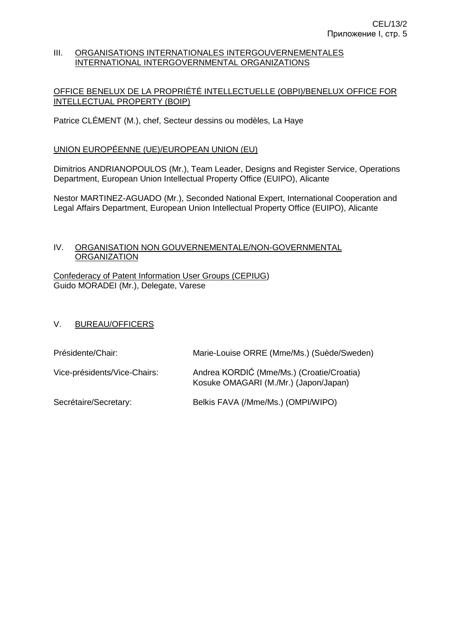#### III. ORGANISATIONS INTERNATIONALES INTERGOUVERNEMENTALES INTERNATIONAL INTERGOVERNMENTAL ORGANIZATIONS

# OFFICE BENELUX DE LA PROPRIÉTÉ INTELLECTUELLE (OBPI)/BENELUX OFFICE FOR INTELLECTUAL PROPERTY (BOIP)

Patrice CLÉMENT (M.), chef, Secteur dessins ou modèles, La Haye

# UNION EUROPÉENNE (UE)/EUROPEAN UNION (EU)

Dimitrios ANDRIANOPOULOS (Mr.), Team Leader, Designs and Register Service, Operations Department, European Union Intellectual Property Office (EUIPO), Alicante

Nestor MARTINEZ-AGUADO (Mr.), Seconded National Expert, International Cooperation and Legal Affairs Department, European Union Intellectual Property Office (EUIPO), Alicante

# IV. ORGANISATION NON GOUVERNEMENTALE/NON-GOVERNMENTAL **ORGANIZATION**

Confederacy of Patent Information User Groups (CEPIUG) Guido MORADEI (Mr.), Delegate, Varese

# V. BUREAU/OFFICERS

| Présidente/Chair:            | Marie-Louise ORRE (Mme/Ms.) (Suède/Sweden)                                         |
|------------------------------|------------------------------------------------------------------------------------|
| Vice-présidents/Vice-Chairs: | Andrea KORDIĆ (Mme/Ms.) (Croatie/Croatia)<br>Kosuke OMAGARI (M./Mr.) (Japon/Japan) |
| Secrétaire/Secretary:        | Belkis FAVA (/Mme/Ms.) (OMPI/WIPO)                                                 |